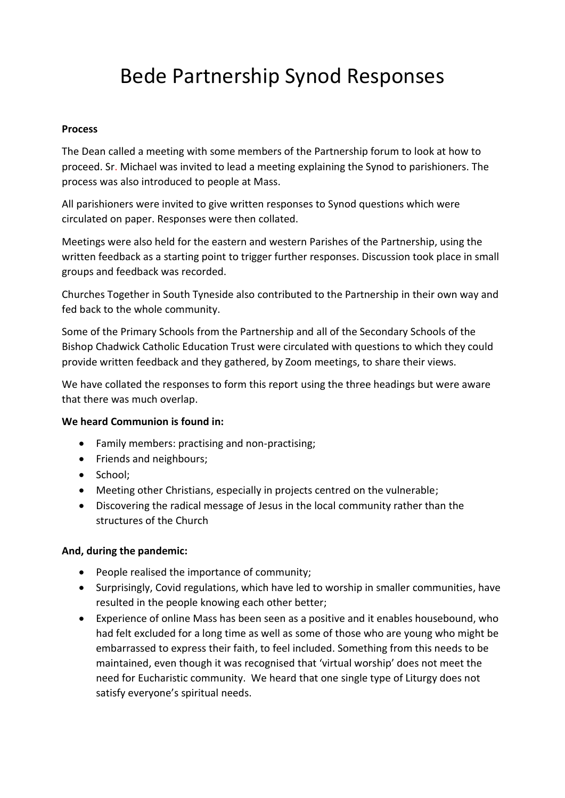# Bede Partnership Synod Responses

#### **Process**

The Dean called a meeting with some members of the Partnership forum to look at how to proceed. Sr. Michael was invited to lead a meeting explaining the Synod to parishioners. The process was also introduced to people at Mass.

All parishioners were invited to give written responses to Synod questions which were circulated on paper. Responses were then collated.

Meetings were also held for the eastern and western Parishes of the Partnership, using the written feedback as a starting point to trigger further responses. Discussion took place in small groups and feedback was recorded.

Churches Together in South Tyneside also contributed to the Partnership in their own way and fed back to the whole community.

Some of the Primary Schools from the Partnership and all of the Secondary Schools of the Bishop Chadwick Catholic Education Trust were circulated with questions to which they could provide written feedback and they gathered, by Zoom meetings, to share their views.

We have collated the responses to form this report using the three headings but were aware that there was much overlap.

## **We heard Communion is found in:**

- Family members: practising and non-practising;
- Friends and neighbours;
- School:
- Meeting other Christians, especially in projects centred on the vulnerable;
- Discovering the radical message of Jesus in the local community rather than the structures of the Church

## **And, during the pandemic:**

- People realised the importance of community;
- Surprisingly, Covid regulations, which have led to worship in smaller communities, have resulted in the people knowing each other better;
- Experience of online Mass has been seen as a positive and it enables housebound, who had felt excluded for a long time as well as some of those who are young who might be embarrassed to express their faith, to feel included. Something from this needs to be maintained, even though it was recognised that 'virtual worship' does not meet the need for Eucharistic community. We heard that one single type of Liturgy does not satisfy everyone's spiritual needs.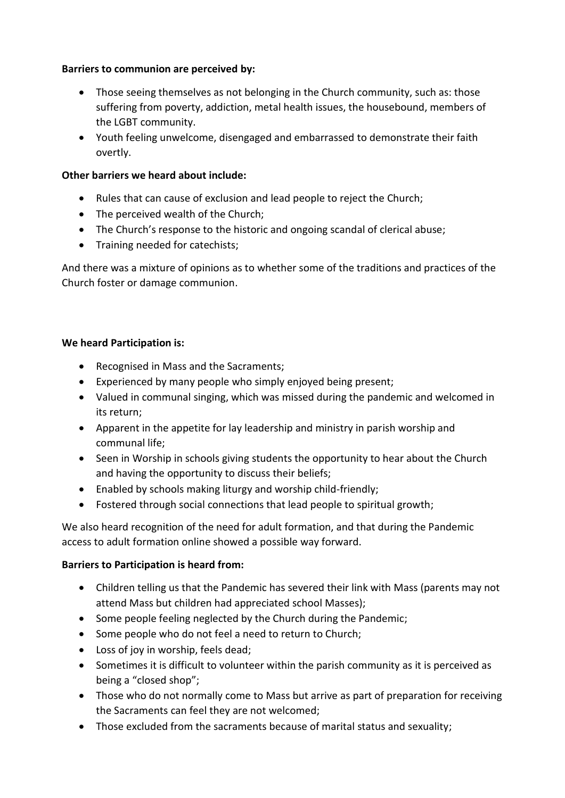## **Barriers to communion are perceived by:**

- Those seeing themselves as not belonging in the Church community, such as: those suffering from poverty, addiction, metal health issues, the housebound, members of the LGBT community.
- Youth feeling unwelcome, disengaged and embarrassed to demonstrate their faith overtly.

## **Other barriers we heard about include:**

- Rules that can cause of exclusion and lead people to reject the Church;
- The perceived wealth of the Church:
- The Church's response to the historic and ongoing scandal of clerical abuse;
- Training needed for catechists;

And there was a mixture of opinions as to whether some of the traditions and practices of the Church foster or damage communion.

## **We heard Participation is:**

- Recognised in Mass and the Sacraments;
- Experienced by many people who simply enjoyed being present;
- Valued in communal singing, which was missed during the pandemic and welcomed in its return;
- Apparent in the appetite for lay leadership and ministry in parish worship and communal life;
- Seen in Worship in schools giving students the opportunity to hear about the Church and having the opportunity to discuss their beliefs;
- Enabled by schools making liturgy and worship child-friendly;
- Fostered through social connections that lead people to spiritual growth;

We also heard recognition of the need for adult formation, and that during the Pandemic access to adult formation online showed a possible way forward.

# **Barriers to Participation is heard from:**

- Children telling us that the Pandemic has severed their link with Mass (parents may not attend Mass but children had appreciated school Masses);
- Some people feeling neglected by the Church during the Pandemic;
- Some people who do not feel a need to return to Church;
- Loss of joy in worship, feels dead;
- Sometimes it is difficult to volunteer within the parish community as it is perceived as being a "closed shop";
- Those who do not normally come to Mass but arrive as part of preparation for receiving the Sacraments can feel they are not welcomed;
- Those excluded from the sacraments because of marital status and sexuality;